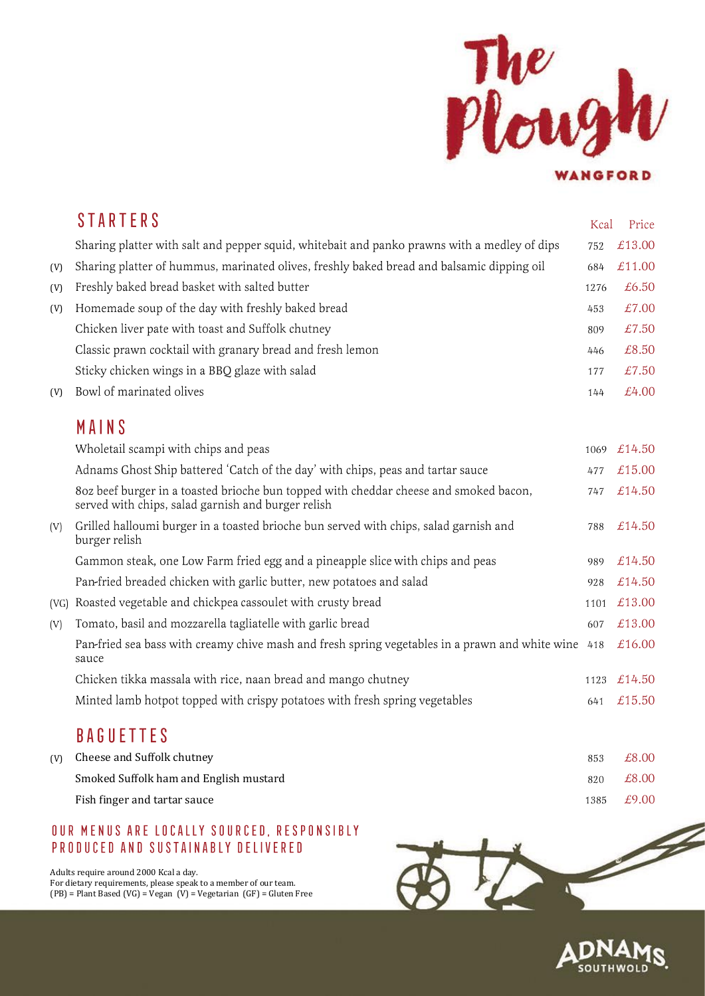

|      | <b>STARTERS</b>                                                                                                                             | Kcal | Price  |
|------|---------------------------------------------------------------------------------------------------------------------------------------------|------|--------|
|      | Sharing platter with salt and pepper squid, whitebait and panko prawns with a medley of dips                                                | 752  | £13.00 |
| (V)  | Sharing platter of hummus, marinated olives, freshly baked bread and balsamic dipping oil                                                   | 684  | £11.00 |
| (V)  | Freshly baked bread basket with salted butter                                                                                               | 1276 | £6.50  |
| (V)  | Homemade soup of the day with freshly baked bread                                                                                           | 453  | £7.00  |
|      | Chicken liver pate with toast and Suffolk chutney                                                                                           | 809  | £7.50  |
|      | Classic prawn cocktail with granary bread and fresh lemon                                                                                   | 446  | £8.50  |
|      | Sticky chicken wings in a BBQ glaze with salad                                                                                              | 177  | £7.50  |
| (V)  | Bowl of marinated olives                                                                                                                    | 144  | £4.00  |
|      | MAINS                                                                                                                                       |      |        |
|      | Wholetail scampi with chips and peas                                                                                                        | 1069 | £14.50 |
|      | Adnams Ghost Ship battered 'Catch of the day' with chips, peas and tartar sauce                                                             | 477  | £15.00 |
|      | 80z beef burger in a toasted brioche bun topped with cheddar cheese and smoked bacon,<br>served with chips, salad garnish and burger relish | 747  | £14.50 |
| (V)  | Grilled halloumi burger in a toasted brioche bun served with chips, salad garnish and<br>burger relish                                      | 788  | £14.50 |
|      | Gammon steak, one Low Farm fried egg and a pineapple slice with chips and peas                                                              | 989  | £14.50 |
|      | Pan-fried breaded chicken with garlic butter, new potatoes and salad                                                                        | 928  | £14.50 |
| (VG) | Roasted vegetable and chickpea cassoulet with crusty bread                                                                                  | 1101 | £13.00 |
| (V)  | Tomato, basil and mozzarella tagliatelle with garlic bread                                                                                  | 607  | £13.00 |
|      | Pan-fried sea bass with creamy chive mash and fresh spring vegetables in a prawn and white wine<br>sauce                                    | 418  | £16.00 |
|      | Chicken tikka massala with rice, naan bread and mango chutney                                                                               | 1123 | £14.50 |
|      | Minted lamb hotpot topped with crispy potatoes with fresh spring vegetables                                                                 | 641  | £15.50 |
|      | <b>BAQUETTE</b>                                                                                                                             |      |        |

## **BAGUETTES**

| (V) Cheese and Suffolk chutney         | 853  | £8.00 |
|----------------------------------------|------|-------|
| Smoked Suffolk ham and English mustard | 820  | £8.00 |
| Fish finger and tartar sauce           | 1385 | £9.00 |

## OUR MENUS ARE LOCALLY SOURCED, RESPONSIBLY PRODUCED AND SUSTAINABLY DELIVERED

Adults require around 2000 Kcal a day. For dietary requirements, please speak to a member of our team.  $(PB)$  = Plant Based (VG) = Vegan (V) = Vegetarian (GF) = Gluten Free